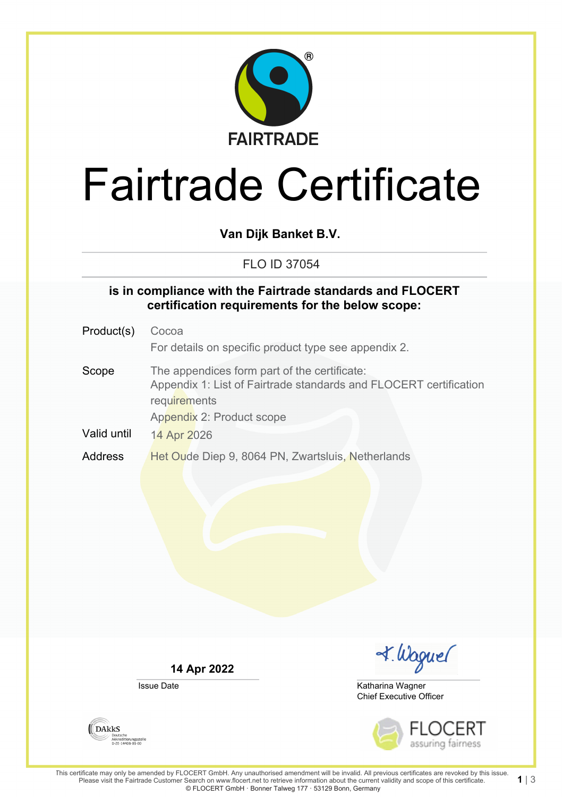

# Fairtrade Certificate

**Van Dijk Banket B.V.**

FLO ID 37054

#### **is in compliance with the Fairtrade standards and FLOCERT certification requirements for the below scope:**

Product(s) Cocoa For details on specific product type see appendix 2. Scope The appendices form part of the certificate: Appendix 1: List of Fairtrade standards and FLOCERT certification requirements Appendix 2: Product scope Valid until 14 Apr 2026 Address Het Oude Diep 9, 8064 PN, Zwartsluis, Netherlands

**14 Apr 2022**

Issue Date



Chief Executive Officer Katharina Wagner



This certificate may only be amended by FLOCERT GmbH. Any unauthorised amendment will be invalid. All previous certificates are revoked by this issue. Please visit the Fairtrade Customer Search on www.flocert.net to retrieve information about the current validity and scope of this certificate. © FLOCERT GmbH · Bonner Talweg 177 · 53129 Bonn, Germany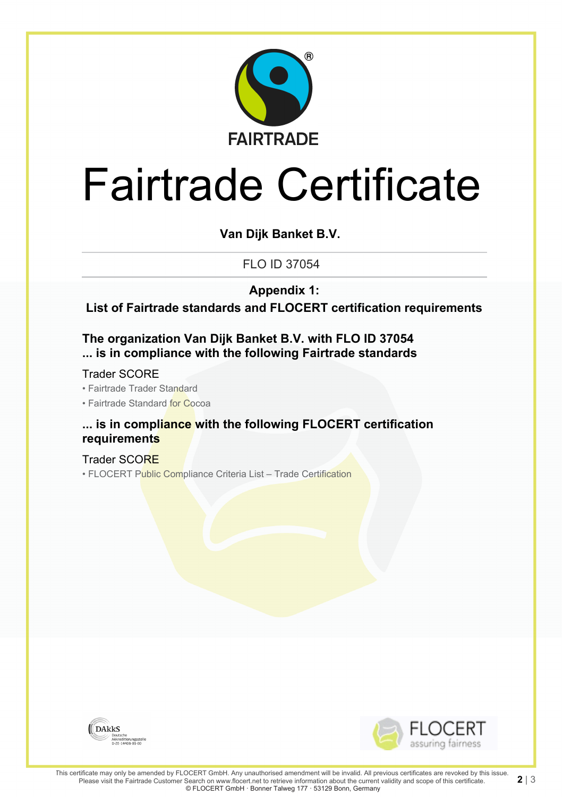

# Fairtrade Certificate

**Van Dijk Banket B.V.**

FLO ID 37054

**Appendix 1:**

**List of Fairtrade standards and FLOCERT certification requirements**

**The organization Van Dijk Banket B.V. with FLO ID 37054 ... is in compliance with the following Fairtrade standards**

Trader SCORE

• Fairtrade Trader Standard

• Fairtrade Standard for Cocoa

#### **... is in compliance with the following FLOCERT certification requirements**

Trader SCORE • FLOCERT Public Compliance Criteria List - Trade Certification